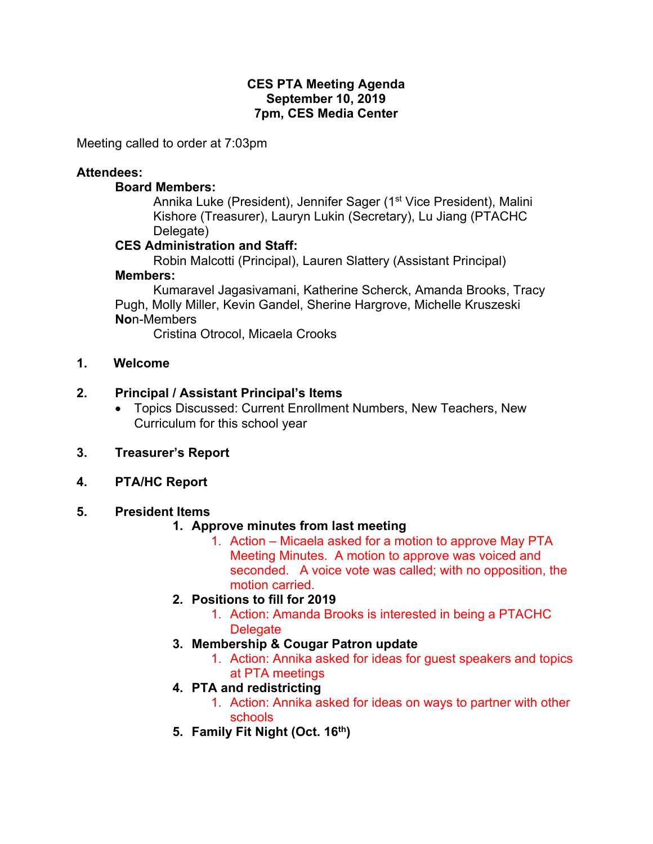## **CES PTA Meeting Agenda September 10, 2019 7pm, CES Media Center**

Meeting called to order at 7:03pm

# **Attendees:**

## **Board Members:**

Annika Luke (President), Jennifer Sager (1<sup>st</sup> Vice President), Malini Kishore (Treasurer), Lauryn Lukin (Secretary), Lu Jiang (PTACHC Delegate)

# **CES Administration and Staff:**

Robin Malcotti (Principal), Lauren Slattery (Assistant Principal) **Members:** 

Kumaravel Jagasivamani, Katherine Scherck, Amanda Brooks, Tracy Pugh, Molly Miller, Kevin Gandel, Sherine Hargrove, Michelle Kruszeski **No**n-Members

Cristina Otrocol, Micaela Crooks

**1. Welcome**

# **2. Principal / Assistant Principal's Items**

- Topics Discussed: Current Enrollment Numbers, New Teachers, New Curriculum for this school year
- **3. Treasurer's Report**
- **4. PTA/HC Report**

# **5. President Items**

# **1. Approve minutes from last meeting**

- 1. Action Micaela asked for a motion to approve May PTA Meeting Minutes. A motion to approve was voiced and seconded. A voice vote was called; with no opposition, the motion carried.
- **2. Positions to fill for 2019**
	- 1. Action: Amanda Brooks is interested in being a PTACHC **Delegate**
- **3. Membership & Cougar Patron update**
	- 1. Action: Annika asked for ideas for guest speakers and topics at PTA meetings
- **4. PTA and redistricting**
	- 1. Action: Annika asked for ideas on ways to partner with other schools
- **5. Family Fit Night (Oct. 16th)**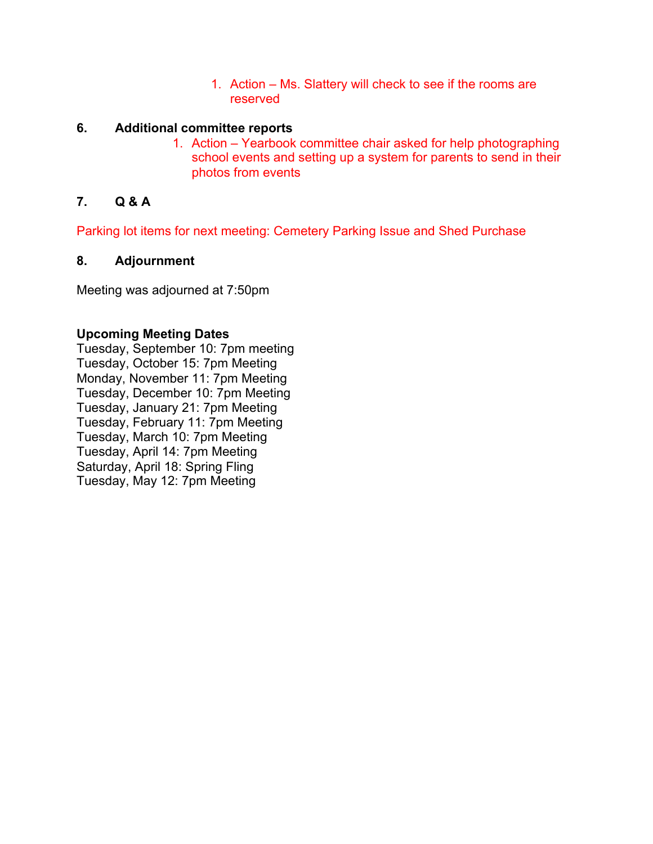1. Action – Ms. Slattery will check to see if the rooms are reserved

## **6. Additional committee reports**

1. Action – Yearbook committee chair asked for help photographing school events and setting up a system for parents to send in their photos from events

# **7. Q & A**

Parking lot items for next meeting: Cemetery Parking Issue and Shed Purchase

## **8. Adjournment**

Meeting was adjourned at 7:50pm

## **Upcoming Meeting Dates**

Tuesday, September 10: 7pm meeting Tuesday, October 15: 7pm Meeting Monday, November 11: 7pm Meeting Tuesday, December 10: 7pm Meeting Tuesday, January 21: 7pm Meeting Tuesday, February 11: 7pm Meeting Tuesday, March 10: 7pm Meeting Tuesday, April 14: 7pm Meeting Saturday, April 18: Spring Fling Tuesday, May 12: 7pm Meeting